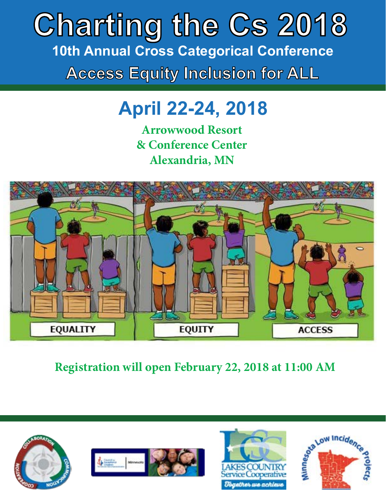# **Access Equity Inclusion for ALL Charting the Cs 2018 10th Annual Cross Categorical Conference**

# **April 22-24, 2018**

**Arrowwood Resort & Conference Center Alexandria, MN**



**Registration will open February 22, 2018 at 11:00 AM**







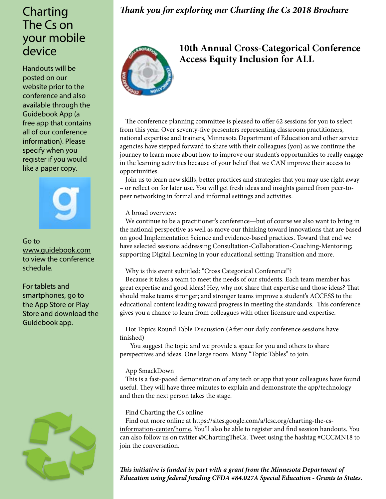# Charting The Cs on your mobile device

Handouts will be posted on our website prior to the conference and also available through the Guidebook App (a free app that contains all of our conference information). Please specify when you register if you would like a paper copy.



Go to www.guidebook.com to view the conference schedule.

For tablets and smartphones, go to the App Store or Play Store and download the Guidebook app.



# *Thank you for exploring our Charting the Cs 2018 Brochure*



# **10th Annual Cross-Categorical Conference Access Equity Inclusion for ALL**

The conference planning committee is pleased to offer 62 sessions for you to select from this year. Over seventy-five presenters representing classroom practitioners, national expertise and trainers, Minnesota Department of Education and other service agencies have stepped forward to share with their colleagues (you) as we continue the journey to learn more about how to improve our student's opportunities to really engage in the learning activities because of your belief that we CAN improve their access to opportunities.

Join us to learn new skills, better practices and strategies that you may use right away – or reflect on for later use. You will get fresh ideas and insights gained from peer-topeer networking in formal and informal settings and activities.

A broad overview:

We continue to be a practitioner's conference—but of course we also want to bring in the national perspective as well as move our thinking toward innovations that are based on good Implementation Science and evidence-based practices. Toward that end we have selected sessions addressing Consultation-Collaboration-Coaching-Mentoring; supporting Digital Learning in your educational setting; Transition and more.

# Why is this event subtitled: "Cross Categorical Conference"?

Because it takes a team to meet the needs of our students. Each team member has great expertise and good ideas! Hey, why not share that expertise and those ideas? That should make teams stronger; and stronger teams improve a student's ACCESS to the educational content leading toward progress in meeting the standards. This conference gives you a chance to learn from colleagues with other licensure and expertise.

Hot Topics Round Table Discussion (After our daily conference sessions have finished)

 You suggest the topic and we provide a space for you and others to share perspectives and ideas. One large room. Many "Topic Tables" to join.

#### App SmackDown

This is a fast-paced demonstration of any tech or app that your colleagues have found useful. They will have three minutes to explain and demonstrate the app/technology and then the next person takes the stage.

# Find Charting the Cs online

Find out more online at [https://sites.google.com/a/lcsc.org/charting-the-cs](https://sites.google.com/a/lcsc.org/charting-the-cs-information-center/home)[information-center/home.](https://sites.google.com/a/lcsc.org/charting-the-cs-information-center/home) You'll also be able to register and find session handouts. You can also follow us on twitter @ChartingTheCs. Tweet using the hashtag #CCCMN18 to join the conversation.

*This initiative is funded in part with a grant from the Minnesota Department of Education using federal funding CFDA #84.027A Special Education - Grants to States.*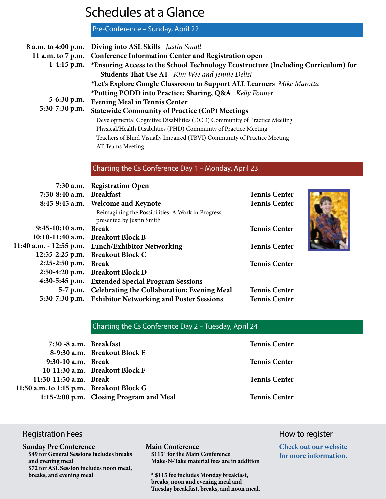# Schedules at a Glance

Pre-Conference – Sunday, April 22

|                                                                  | 8 a.m. to 4:00 p.m. Diving into ASL Skills Justin Small                  |                                                                                               |
|------------------------------------------------------------------|--------------------------------------------------------------------------|-----------------------------------------------------------------------------------------------|
|                                                                  | 11 a.m. to 7 p.m. Conference Information Center and Registration open    |                                                                                               |
|                                                                  |                                                                          | 1-4:15 p.m. *Ensuring Access to the School Technology Ecostructure (Including Curriculum) for |
| 5-6:30 p.m.<br>5:30-7:30 p.m.                                    | <b>Students That Use AT</b> Kim Wee and Jennie Delisi                    |                                                                                               |
|                                                                  | *Let's Explore Google Classroom to Support ALL Learners Mike Marotta     |                                                                                               |
|                                                                  | *Putting PODD into Practice: Sharing, Q&A Kelly Fonner                   |                                                                                               |
|                                                                  | <b>Evening Meal in Tennis Center</b>                                     |                                                                                               |
|                                                                  | <b>Statewide Community of Practice (CoP) Meetings</b>                    |                                                                                               |
|                                                                  | Developmental Cognitive Disabilities (DCD) Community of Practice Meeting |                                                                                               |
|                                                                  | Physical/Health Disabilities (PHD) Community of Practice Meeting         |                                                                                               |
|                                                                  | Teachers of Blind Visually Impaired (TBVI) Community of Practice Meeting |                                                                                               |
|                                                                  | AT Teams Meeting                                                         |                                                                                               |
|                                                                  |                                                                          |                                                                                               |
|                                                                  | Charting the Cs Conference Day 1 - Monday, April 23                      |                                                                                               |
|                                                                  | 7:30 a.m. Registration Open                                              |                                                                                               |
| $7.20.9.40 \, \text{cm}$ $\frac{D_{\text{mod}}}{L_{\text{tot}}}$ |                                                                          | $T_{\alpha\mu\mu}$ is $C_{\alpha\mu}$ to $\mu$                                                |

| 7:30-8:40 a.m. Breakfast |                                                                                | <b>Tennis Center</b> |  |
|--------------------------|--------------------------------------------------------------------------------|----------------------|--|
|                          | 8:45-9:45 a.m. Welcome and Keynote                                             | <b>Tennis Center</b> |  |
|                          | Reimagining the Possibilities: A Work in Progress<br>presented by Justin Smith |                      |  |
| 9:45-10:10 a.m. Break    |                                                                                | <b>Tennis Center</b> |  |
|                          | 10:10-11:40 a.m. Breakout Block B                                              |                      |  |
|                          | 11:40 a.m. - 12:55 p.m. Lunch/Exhibitor Networking                             | <b>Tennis Center</b> |  |
|                          | 12:55-2:25 p.m. Breakout Block C                                               |                      |  |
| 2:25-2:50 p.m. Break     |                                                                                | <b>Tennis Center</b> |  |
|                          | 2:50-4:20 p.m. Breakout Block D                                                |                      |  |
|                          | 4:30-5:45 p.m. Extended Special Program Sessions                               |                      |  |
|                          | 5-7 p.m. Celebrating the Collaboration: Evening Meal                           | <b>Tennis Center</b> |  |
|                          | 5:30-7:30 p.m. Exhibitor Networking and Poster Sessions                        | <b>Tennis Center</b> |  |

Charting the Cs Conference Day 2 – Tuesday, April 24

| 7:30 -8 a.m. Breakfast                   |                                         | <b>Tennis Center</b> |
|------------------------------------------|-----------------------------------------|----------------------|
|                                          | 8-9:30 a.m. Breakout Block E            |                      |
| 9:30-10 a.m. Break                       |                                         | <b>Tennis Center</b> |
|                                          | 10-11:30 a.m. Breakout Block F          |                      |
| 11:30-11:50 a.m. Break                   |                                         | <b>Tennis Center</b> |
| 11:50 a.m. to 1:15 p.m. Breakout Block G |                                         |                      |
|                                          | 1:15-2:00 p.m. Closing Program and Meal | <b>Tennis Center</b> |

# Registration Fees **How to register**

**Sunday Pre Conference \$49 for General Sessions includes breaks and evening meal \$72 for ASL Session includes noon meal, breaks, and evening meal**

#### **Main Conference \$115\* for the Main Conference Make-N-Take material fees are in addition**

**\* \$115 fee includes Monday breakfast, breaks, noon and evening meal and Tuesday breakfast, breaks, and noon meal.**

**[Check out our website](https://sites.google.com/a/lcsc.org/charting-the-cs-information-center/)  [for more information.](https://sites.google.com/a/lcsc.org/charting-the-cs-information-center/)**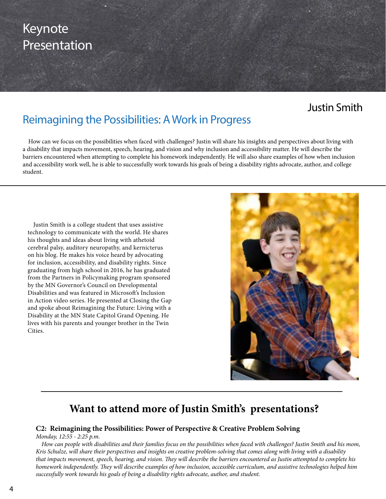# Keynote **Presentation**

# Justin Smith

# Reimagining the Possibilities: A Work in Progress

How can we focus on the possibilities when faced with challenges? Justin will share his insights and perspectives about living with a disability that impacts movement, speech, hearing, and vision and why inclusion and accessibility matter. He will describe the barriers encountered when attempting to complete his homework independently. He will also share examples of how when inclusion and accessibility work well, he is able to successfully work towards his goals of being a disability rights advocate, author, and college student.

Justin Smith is a college student that uses assistive technology to communicate with the world. He shares his thoughts and ideas about living with athetoid cerebral palsy, auditory neuropathy, and kernicterus on his blog. He makes his voice heard by advocating for inclusion, accessibility, and disability rights. Since graduating from high school in 2016, he has graduated from the Partners in Policymaking program sponsored by the MN Governor's Council on Developmental Disabilities and was featured in Microsoft's Inclusion in Action video series. He presented at Closing the Gap and spoke about Reimagining the Future: Living with a Disability at the MN State Capitol Grand Opening. He lives with his parents and younger brother in the Twin Cities.



# **Want to attend more of Justin Smith's presentations?**

# **C2: Reimagining the Possibilities: Power of Perspective & Creative Problem Solving**

*Monday, 12:55 - 2:25 p.m.*

*How can people with disabilities and their families focus on the possibilities when faced with challenges? Justin Smith and his mom, Kris Schulze, will share their perspectives and insights on creative problem-solving that comes along with living with a disability that impacts movement, speech, hearing, and vision. They will describe the barriers encountered as Justin attempted to complete his homework independently. They will describe examples of how inclusion, accessible curriculum, and assistive technologies helped him successfully work towards his goals of being a disability rights advocate, author, and student.*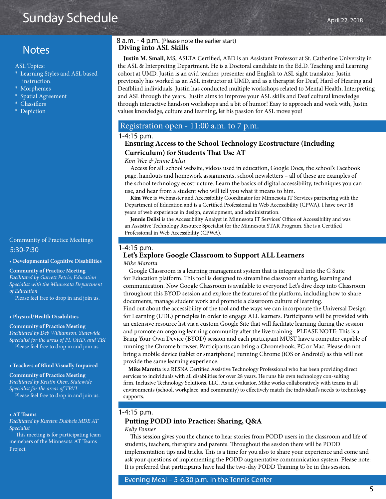# Sunday Schedule

# **Notes**

ASL Topics:

- \* Learning Styles and ASL based instruction.
- \* Morphemes
- \* Spatial Agreement
- \* Classifiers
- \* Depiction

# 5:30-7:30 Community of Practice Meetings

**• Developmental Cognitive Disabilities** 

#### **Community of Practice Meeting**

*Facilitated by Garrett Petrie, Education Specialist with the Minnesota Department of Education*

Please feel free to drop in and join us.

#### **• Physical/Health Disabilities**

#### **Community of Practice Meeting**

*Facilitated by Deb Williamson, Statewide Specialist for the areas of PI, OHD, and TBI* Please feel free to drop in and join us.

#### **• Teachers of Blind Visually Impaired**

**Community of Practice Meeting** *Facilitated by Kristin Oien, Statewide Specialist for the areas of TBVI* Please feel free to drop in and join us.

**• AT Teams**

*Facilitated by Kursten Dubbels MDE AT Specialist*

This meeting is for participating team memebers of the Minnesota AT Teams Project.

#### **Diving into ASL Skills** 8 a.m. - 4 p.m. (Please note the earlier start)

**Justin M. Small**, MS, ASLTA Certified, ABD is an Assistant Professor at St. Catherine University in the ASL & Interpreting Department. He is a Doctoral candidate in the Ed.D. Teaching and Learning cohort at UMD. Justin is an avid teacher, presenter and English to ASL sight translator. Justin previously has worked as an ASL instructor at UMD, and as a therapist for Deaf, Hard of Hearing and Deafblind individuals. Justin has conducted multiple workshops related to Mental Health, Interpreting and ASL through the years. Justin aims to improve your ASL skills and Deaf cultural knowledge through interactive handson workshops and a bit of humor! Easy to approach and work with, Justin values knowledge, culture and learning, let his passion for ASL move you!

#### Registration open - 11:00 a.m. to 7 p.m.

#### 1-4:15 p.m.

#### **Ensuring Access to the School Technology Ecostructure (Including Curriculum) for Students That Use AT**

#### *Kim Wee & Jennie Delisi*

Access for all: school website, videos used in education, Google Docs, the school's Facebook page, handouts and homework assignments, school newsletters – all of these are examples of the school technology ecostructure. Learn the basics of digital accessibility, techniques you can use, and hear from a student who will tell you what it means to him.

**Kim Wee** is Webmaster and Accessibility Coordinator for Minnesota IT Services partnering with the Department of Education and is a Certified Professional in Web Accessibility (CPWA). I have over 18 years of web experience in design, development, and administration.

**Jennie Delisi** is the Accessibility Analyst in Minnesota IT Services' Office of Accessibility and was an Assistive Technology Resource Specialist for the Minnesota STAR Program. She is a Certified Professional in Web Accessibility (CPWA).

#### 1-4:15 p.m.

# **Let's Explore Google Classroom to Support ALL Learners**

*Mike Marotta*

 Google Classroom is a learning management system that is integrated into the G Suite for Education platform. This tool is designed to streamline classroom sharing, learning and communication. Now Google Classroom is available to everyone! Let's dive deep into Classroom throughout this BYOD session and explore the features of the platform, including how to share documents, manage student work and promote a classroom culture of learning. Find out about the accessibility of the tool and the ways we can incorporate the Universal Design for Learning (UDL) principles in order to engage ALL learners. Participants will be provided with an extensive resource list via a custom Google Site that will facilitate learning during the session and promote an ongoing learning community after the live training. PLEASE NOTE: This is a Bring Your Own Device (BYOD) session and each participant MUST have a computer capable of running the Chrome browser. Participants can bring a Chromebook, PC or Mac. Please do not bring a mobile device (tablet or smartphone) running Chrome (iOS or Android) as this will not provide the same learning experience.

 **Mike Marotta** is a RESNA Certified Assistive Technology Professional who has been providing direct services to individuals with all disabilities for over 28 years. He runs his own technology con-sulting firm, Inclusive Technology Solutions, LLC. As an evaluator, Mike works collaboratively with teams in all environments (school, workplace, and community) to effectively match the individual's needs to technology supports.

#### 1-4:15 p.m.

#### **Putting PODD into Practice: Sharing, Q&A**

*Kelly Fonner*

 This session gives you the chance to hear stories from PODD users in the classroom and life of students, teachers, therapists and parents. Throughout the session there will be PODD implementation tips and tricks. This is a time for you also to share your experience and come and ask your questions of implementing the PODD augmentative communication system. Please note: It is preferred that participants have had the two-day PODD Training to be in this session.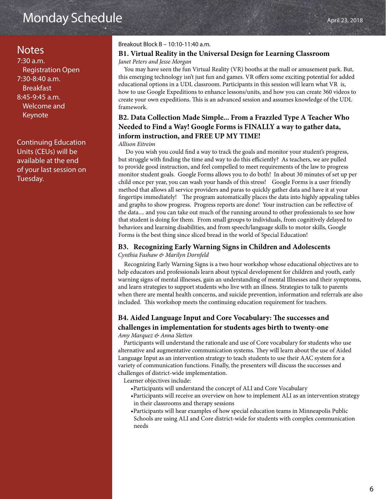# Monday Schedule

7:30 a.m. Registration Open 7:30-8:40 a.m. Breakfast 8:45-9:45 a.m. Welcome and Keynote

Continuing Education Units (CEUs) will be available at the end of your last session on Tuesday.

#### Breakout Block B – 10:10-11:40 a.m.

# Notes **B1. Virtual Reality in the Universal Design for Learning Classroom** *Janet Peters and Jesse Morgan*

You may have seen the fun Virtual Reality (VR) booths at the mall or amusement park. But, this emerging technology isn't just fun and games. VR offers some exciting potential for added educational options in a UDL classroom. Participants in this session will learn what VR is, how to use Google Expeditions to enhance lessons/units, and how you can create 360 videos to create your own expeditions. This is an advanced session and assumes knowledge of the UDL framework.

# **B2. Data Collection Made Simple... From a Frazzled Type A Teacher Who Needed to Find a Way! Google Forms is FINALLY a way to gather data, inform instruction, and FREE UP MY TIME!**

#### *Allison Eitreim*

Do you wish you could find a way to track the goals and monitor your student's progress, but struggle with finding the time and way to do this efficiently? As teachers, we are pulled to provide good instruction, and feel compelled to meet requirements of the law to progress monitor student goals. Google Forms allows you to do both! In about 30 minutes of set up per child once per year, you can wash your hands of this stress! Google Forms is a user friendly method that allows all service providers and paras to quickly gather data and have it at your fingertips immediately! The program automatically places the data into highly appealing tables and graphs to show progress. Progress reports are done! Your instruction can be reflective of the data.... and you can take out much of the running around to other professionals to see how that student is doing for them. From small groups to individuals, from cognitively delayed to behaviors and learning disabilities, and from speech/language skills to motor skills, Google Forms is the best thing since sliced bread in the world of Special Education!

# **B3. Recognizing Early Warning Signs in Children and Adolescents**

*Cynthia Fashaw & Marilyn Dornfeld*

Recognizing Early Warning Signs is a two hour workshop whose educational objectives are to help educators and professionals learn about typical development for children and youth, early warning signs of mental illnesses, gain an understanding of mental Illnesses and their symptoms, and learn strategies to support students who live with an illness. Strategies to talk to parents when there are mental health concerns, and suicide prevention, information and referrals are also included. This workshop meets the continuing education requirement for teachers.

# **B4. Aided Language Input and Core Vocabulary: The successes and challenges in implementation for students ages birth to twenty-one**

*Amy Marquez & Anna Sletten*

Participants will understand the rationale and use of Core vocabulary for students who use alternative and augmentative communication systems. They will learn about the use of Aided Language Input as an intervention strategy to teach students to use their AAC system for a variety of communication functions. Finally, the presenters will discuss the successes and challenges of district-wide implementation.

Learner objectives include:

- •Participants will understand the concept of ALI and Core Vocabulary
- •Participants will receive an overview on how to implement ALI as an intervention strategy in their classrooms and therapy sessions
- •Participants will hear examples of how special education teams in Minneapolis Public Schools are using ALI and Core district-wide for students with complex communication needs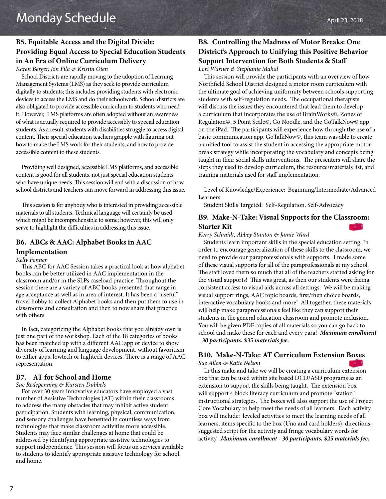# **B5. Equitable Access and the Digital Divide: Providing Equal Access to Special Education Students in An Era of Online Curriculum Delivery** *Karen Berger, Jon Fila & Kristin Oien*

School Districts are rapidly moving to the adoption of Learning Management Systems (LMS) as they seek to provide curriculum digitally to students; this includes providing students with electronic devices to access the LMS and do their schoolwork. School districts are also obligated to provide accessible curriculum to students who need it. However, LMS platforms are often adopted without an awareness of what is actually required to provide accessibly to special education students. As a result, students with disabilities struggle to access digital content. Their special education teachers grapple with figuring out how to make the LMS work for their students, and how to provide accessible content to these students.

Providing well designed, accessible LMS platforms, and accessible content is good for all students, not just special education students who have unique needs. This session will end with a discussion of how school districts and teachers can move forward in addressing this issue.

This session is for anybody who is interested in providing accessible materials to all students. Technical language will certainly be used which might be incomprehensible to some; however, this will only serve to highlight the difficulties in addressing this issue.

# **B6. ABCs & AAC: Alphabet Books in AAC Implementation**

#### *Kelly Fonner*

This ABC for AAC Session takes a practical look at how alphabet books can be better utilized in AAC implementation in the classroom and/or in the SLPs caseload practice. Throughout the session there are a variety of ABC books presented that range in age acceptance as well as in area of interest. It has been a "useful" travel hobby to collect Alphabet books and then put them to use in classrooms and consultation and then to now share that practice with others.

In fact, categorizing the Alphabet books that you already own is just one part of the workshop. Each of the 18 categories of books has been matched up with a different AAC app or device to show diversity of learning and language development, without favoritism to either apps, lowtech or hightech devices. There is a range of AAC representation.

#### **B7. AT for School and Home**

#### *Sue Redepenning & Kursten Dubbels*

For over 30 years innovative educators have employed a vast number of Assistive Technologies (AT) within their classrooms to address the many obstacles that may inhibit active student participation. Students with learning, physical, communication, and sensory challenges have benefited in countless ways from technologies that make classroom activities more accessible. Students may face similar challenges at home that could be addressed by identifying appropriate assistive technologies to support independence. This session will focus on services available to students to identify appropriate assistive technology for school and home.

# **B8. Controlling the Madness of Motor Breaks: One District's Approach to Unifying this Positive Behavior Support Intervention for Both Students & Staff** *Lori Warner & Stephanie Mahal*

This session will provide the participants with an overview of how Northfield School District designed a motor room curriculum with the ultimate goal of achieving uniformity between schools supporting students with self-regulation needs. The occupational therapists will discuss the issues they encountered that lead them to develop a curriculum that incorporates the use of BrainWorks©, Zones of Regulation©, 5 Point Scale©, Go Noodle, and the GoTalkNow© app on the iPad. The participants will experience how through the use of a basic communication app, GoTalkNow©, this team was able to create a unified tool to assist the student in accessing the appropriate motor break strategy while incorporating the vocabulary and concepts being taught in their social skills interventions. The presenters will share the steps they used to develop curriculum, the resource/materials list, and training materials used for staff implementation.

Level of Knowledge/Experience: Beginning/Intermediate/Advanced Learners

Student Skills Targeted: Self-Regulation, Self-Advocacy

# **B9. Make-N-Take: Visual Supports for the Classroom: Starter Kit**

#### *Kerry Schmidt, Abbey Stanton & Jamie Ward*

Students learn important skills in the special education setting. In order to encourage generalization of these skills to the classroom, we need to provide our paraprofessionals with supports. I made some of these visual supports for all of the paraprofessionals at my school. The staff loved them so much that all of the teachers started asking for the visual supports! This was great, as then our students were facing consistent access to visual aids across all settings. We will be making visual support rings, AAC topic boards, first/then choice boards, interactive vocabulary books and more! All together, these materials will help make paraprofessionals feel like they can support their students in the general education classroom and promote inclusion. You will be given PDF copies of all materials so you can go back to school and make these for each and every para! *Maximum enrollment - 30 participants. \$35 materials fee.* 

# **B10. Make-N-Take: AT Curriculum Extension Boxes**

*Sue Allen & Katie Nelson*

In this make and take we will be creating a curriculum extension box that can be used within site based DCD/ASD programs as an extension to support the skills being taught. The extension box will support 4 block literacy curriculum and promote "station" instructional strategies. The boxes will also support the use of Project Core Vocabulary to help meet the needs of all learners. Each activity box will include: leveled activities to meet the learning needs of all learners, items specific to the box (Uno and card holders), directions, suggested script for the activity and fringe vocabulary words for activity. *Maximum enrollment - 30 participants. \$25 materials fee.*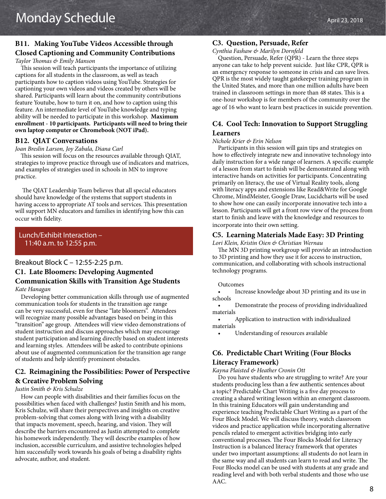# **B11. Making YouTube Videos Accessible through Closed Captioning and Community Contributions**

*Taylor Thomas & Emily Manson*

This session will teach participants the importance of utilizing captions for all students in the classroom, as well as teach participants how to caption videos using YouTube. Strategies for captioning your own videos and videos created by others will be shared. Participants will learn about the community contributions feature Youtube, how to turn it on, and how to caption using this feature. An intermediate level of YouTube knowledge and typing ability will be needed to participate in this workshop. **Maximum enrollment - 10 participants. Participants will need to bring their own laptop computer or Chromebook (NOT iPad).**

#### **B12. QIAT Conversations**

#### *Joan Breslin Larson, Joy Zabala, Diana Carl*

 This session will focus on the resources available through QIAT, strategies to improve practice through use of indicators and matrices, and examples of strategies used in schools in MN to improve practice.

 The QIAT Leadership Team believes that all special educators should have knowledge of the systems that support students in having access to appropriate AT tools and services. This presentation will support MN educators and families in identifying how this can occur with fidelity.

# Lunch/Exhibit Interaction – 11:40 a.m. to 12:55 p.m.

#### Breakout Block C – 12:55-2:25 p.m.

# **C1. Late Bloomers: Developing Augmented Communication Skills with Transition Age Students** *Kate Hanagan*

 Developing better communication skills through use of augmented communication tools for students in the transition age range can be very successful, even for these "late bloomers". Attendees will recognize many possible advantages based on being in this "transition" age group. Attendees will view video demonstrations of student instruction and discuss approaches which may encourage student participation and learning directly based on student interests and learning styles. Attendees will be asked to contribute opinions about use of augmented communication for the transition age range of students and help identify prominent obstacles.

# **C2. Reimagining the Possibilities: Power of Perspective & Creative Problem Solving**

#### *Justin Smith & Kris Schulze*

 How can people with disabilities and their families focus on the possibilities when faced with challenges? Justin Smith and his mom, Kris Schulze, will share their perspectives and insights on creative problem-solving that comes along with living with a disability that impacts movement, speech, hearing, and vision. They will describe the barriers encountered as Justin attempted to complete his homework independently. They will describe examples of how inclusion, accessible curriculum, and assistive technologies helped him successfully work towards his goals of being a disability rights advocate, author, and student.

#### **C3. Question, Persuade, Refer**

#### *Cynthia Fashaw & Marilyn Dornfeld*

Question, Persuade, Refer (QPR) - Learn the three steps anyone can take to help prevent suicide. Just like CPR, QPR is an emergency response to someone in crisis and can save lives. QPR is the most widely taught gatekeeper training program in the United States, and more than one million adults have been trained in classroom settings in more than 48 states. This is a one-hour workshop is for members of the community over the age of 16 who want to learn best practices in suicide prevention.

# **C4. Cool Tech: Innovation to Support Struggling Learners**

#### *Nichole Krier & Erin Nelson*

Participants in this session will gain tips and strategies on how to effectively integrate new and innovative technology into daily instruction for a wide range of learners. A specific example of a lesson from start to finish will be demonstrated along with interactive hands on activities for participants. Concentrating primarily on literacy, the use of Virtual Reality tools, along with literacy apps and extensions like Read&Write for Google Chrome, MindMeister, Google Draw, Lucidcharts will be used to show how one can easily incorporate innovative tech into a lesson. Participants will get a front row view of the process from start to finish and leave with the knowledge and resources to incorporate into their own setting.

#### **C5. Learning Materials Made Easy: 3D Printing**

*Lori Klein, Kristin Oien & Christian Wernau*

The MN 3D printing workgroup will provide an introduction to 3D printing and how they use it for access to instruction, communication, and collaborating with schools instructional technology programs.

#### Outcomes

• Increase knowledge about 3D printing and its use in schools

• Demonstrate the process of providing individualized materials

• Application to instruction with individualized materials

• Understanding of resources available

# **C6. Predictable Chart Writing (Four Blocks Literacy Framework)**

#### *Kayna Plaisted & Heather Cronin Ott*

Do you have students who are struggling to write? Are your students producing less than a few authentic sentences about a topic? Predictable Chart Writing is a five day process to creating a shared writing lesson within an emergent classroom. In this training Educators will gain understanding and experience teaching Predictable Chart Writing as a part of the Four Block Model. We will discuss theory, watch classroom videos and practice application while incorporating alternative pencils related to emergent activities bridging into early conventional processes. The Four Blocks Model for Literacy Instruction is a balanced literacy framework that operates under two important assumptions: all students do not learn in the same way and all students can learn to read and write. The Four Blocks model can be used with students at any grade and reading level and with both verbal students and those who use AAC.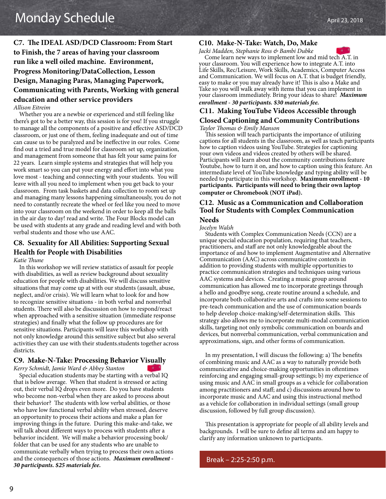# **C7. The IDEAL ASD/DCD Classroom: From Start to Finish, the 7 areas of having your classroom run like a well oiled machine. Environment, Progress Monitoring/DataCollection, Lesson Design, Managing Paras, Managing Paperwork, Communicating with Parents, Working with general education and other service providers** *Allison Eitreim*

Whether you are a newbie or experienced and still feeling like there's got to be a better way, this session is for you! If you struggle to manage all the components of a positive and effective ASD/DCD classroom, or just one of them, feeling inadequate and out of time can cause us to be paralyzed and be ineffective in our roles. Come find out a tried and true model for classroom set up, organization, and management from someone that has felt your same pains for 22 years. Learn simple systems and strategies that will help you work smart so you can put your energy and effort into what you love most - teaching and connecting with your students. You will leave with all you need to implement when you get back to your classroom. From task baskets and data collection to room set up and managing many lessons happening simultaneously, you do not need to constantly recreate the wheel or feel like you need to move into your classroom on the weekend in order to keep all the balls in the air day to day! read and write. The Four Blocks model can be used with students at any grade and reading level and with both verbal students and those who use AAC.

# **C8. Sexuality for All Abilities: Supporting Sexual Health for People with Disabilities**

#### *Katie Thune*

In this workshop we will review statistics of assault for people with disabilities, as well as review background about sexuality education for people with disabilities. We will discuss sensitive situations that may come up at with our students (assault, abuse, neglect, and/or crisis). We will learn what to look for and how to recognize sensitive situations - in both verbal and nonverbal students. There will also be discussion on how to respond/react when approached with a sensitive situation (immediate response strategies) and finally what the follow up procedures are for sensitive situations. Participants will leave this workshop with not only knowledge around this sensitive subject but also several activities they can use with their students.students together across districts.

#### **C9. Make-N-Take: Processing Behavior Visually**

*Kerry Schmidt, Jamie Ward & Abbey Stanton*

Special education students may be starting with a verbal IQ that is below average. When that student is stressed or acting out, their verbal IQ drops even more. Do you have students who become non-verbal when they are asked to process about their behavior? The students with low verbal abilities, or those who have low functional verbal ability when stressed, deserve an opportunity to process their actions and make a plan for improving things in the future. During this make-and-take, we will talk about different ways to process with students after a behavior incident. We will make a behavior processing book/ folder that can be used for any students who are unable to communicate verbally when trying to process their own actions and the consequences of those actions. *Maximum enrollment - 30 participants. \$25 materials fee.*

#### **C10. Make-N-Take: Watch, Do, Make**

*Jacki Madden, Stephanie Ross & Bambi Dubke* 



Come learn new ways to implement low and mid tech A.T. in your classroom. You will experience how to integrate A.T. into Life Skills, Rec/Leisure, Work Skills, Academics, Computer Access and Communication. We will focus on A.T. that is budget friendly, easy to make or you may already have it! This is also a Make and Take so you will walk away with items that you can implement in your classroom immediately. Bring your ideas to share! *Maximum* 

# *enrollment - 30 participants. \$30 materials fee.*

# **C11. Making YouTube Videos Accessible through Closed Captioning and Community Contributions**

*Taylor Thomas & Emily Manson*

This session will teach participants the importance of utilizing captions for all students in the classroom, as well as teach participants how to caption videos using YouTube. Strategies for captioning your own videos and videos created by others will be shared. Participants will learn about the community contributions feature Youtube, how to turn it on, and how to caption using this feature. An intermediate level of YouTube knowledge and typing ability will be needed to participate in this workshop. **Maximum enrollment - 10 participants. Participants will need to bring their own laptop computer or Chromebook (NOT iPad).**

# **C12. Music as a Communication and Collaboration Tool for Students with Complex Communication**

# **Needs**

*Jocelyn Walsh*

Students with Complex Communication Needs (CCN) are a unique special education population, requiring that teachers, practitioners, and staff are not only knowledgeable about the importance of and how to implement Augmentative and Alternative Communication (AAC) across communicative contexts in addition to providing students with multiple opportunities to practice communication strategies and techniques using various AAC systems and devices. Creating a music group around communication has allowed me to incorporate greetings through a hello and goodbye song, create routine around a schedule, and incorporate both collaborative arts and crafts into some sessions to pre-teach communication and the use of communication boards to help develop choice-making/self-determination skills. This strategy also allows me to incorporate multi-modal communication skills, targeting not only symbolic communication on boards and devices, but nonverbal communication, verbal communication and approximations, sign, and other forms of communication.

In my presentation, I will discuss the following: a) The benefits of combining music and AAC as a way to naturally provide both communicative and choice-making opportunities in oftentimes reinforcing and engaging small-group settings; b) my experience of using music and AAC in small groups as a vehicle for collaboration among practitioners and staff; and c) discussions around how to incorporate music and AAC and using this instructional method as a vehicle for collaboration in individual settings (small group discussion, followed by full group discussion).

This presentation is appropriate for people of all ability levels and backgrounds. I will be sure to define all terms and am happy to clarify any information unknown to participants.

Break – 2:25-2:50 p.m.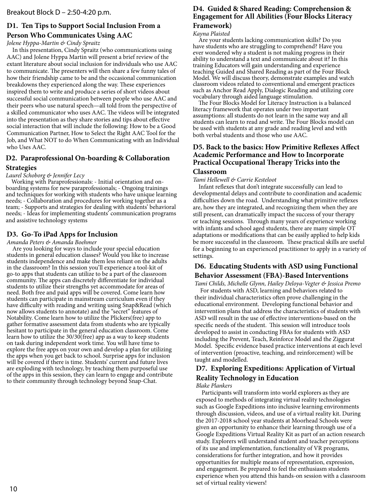# **D1. Ten Tips to Support Social Inclusion From a Person Who Communicates Using AAC**

#### *Jolene Hyppa-Martin & Cindy Spraitz*

In this presentation, Cindy Spraitz (who communications using AAC) and Jolene Hyppa Martin will present a brief review of the extant literature about social inclusion for individuals who use AAC to communicate. The presenters will then share a few funny tales of how their friendship came to be and the occasional communication breakdowns they experienced along the way. These experiences inspired them to write and produce a series of short videos about successful social communication between people who use AAC and their peers who use natural speech—all told from the perspective of a skilled communicator who uses AAC. The videos will be integrated into the presentation as they share stories and tips about effective social interaction that will include the following: How to be a Good Communication Partner, How to Select the Right AAC Tool for the Job, and What NOT to do When Communicating with an Individual who Uses AAC.

# **D2. Paraprofessional On-boarding & Collaboration**

#### **Strategies**

*Laurel Schoborg & Jennifer Lecy*

Working with Paraprofessionals: - Initial orientation and onboarding systems for new paraprofessionals; - Ongoing trainings and techniques for working with students who have unique learning needs; - Collaboration and procedures for working together as a team; - Supports and strategies for dealing with students' behavioral needs; - Ideas for implementing students' communication programs and assistive technology systems

# **D3. Go-To iPad Apps for Inclusion**

#### *Amanda Peters & Amanda Boehmer*

Are you looking for ways to include your special education students in general education classes? Would you like to increase students independence and make them less reliant on the adults in the classroom? In this session you'll experience a tool-kit of go-to apps that students can utilize to be a part of the classroom community. The apps can discretely differentiate for individual students to utilize their strengths yet accommodate for areas of need. Both free and paid apps will be covered. Come learn how students can participate in mainstream curriculum even if they have difficulty with reading and writing using Snap&Read (which now allows students to annotate) and the "secret" features of Notability. Come learn how to utilize the Plickers(free) app to gather formative assessment data from students who are typically hesitant to participate in the general education classroom. Come learn how to utilize the 30/30(free) app as a way to keep students on task during independent work time. You will have time to explore the free apps on your own and develop a plan for utilizing the apps when you get back to school. Surprise apps for inclusion will be covered if there is time. Students' current and future lives are exploding with technology, by teaching them purposeful use of the apps in this session, they can learn to engage and contribute to their community through technology beyond Snap-Chat.

# **D4. Guided & Shared Reading: Comprehension & Engagement for All Abilities (Four Blocks Literacy**

# **Framework)**

#### *Kayna Plaisted*

Are your students lacking communication skills? Do you have students who are struggling to comprehend? Have you ever wondered why a student is not making progress in their ability to understand a text and communicate about it? In this training Educators will gain understanding and experience teaching Guided and Shared Reading as part of the Four Block Model. We will discuss theory, demonstrate examples and watch classroom videos related to conventional and emergent practices such as Anchor Read Apply, Dialogic Reading and utilizing core vocabulary through aided language stimulation.

The Four Blocks Model for Literacy Instruction is a balanced literacy framework that operates under two important assumptions: all students do not learn in the same way and all students can learn to read and write. The Four Blocks model can be used with students at any grade and reading level and with both verbal students and those who use AAC.

# **D5. Back to the basics: How Primitive Reflexes Affect Academic Performance and How to Incorporate Practical Occupational Therapy Tricks into the**

### **Classroom**

#### *Tami Hellewell & Carrie Kesteloot*

Infant reflexes that don't integrate successfully can lead to developmental delays and contribute to coordination and academic difficulties down the road. Understanding what primitive reflexes are, how they are integrated, and recognizing them when they are still present, can dramatically impact the success of your therapy or teaching sessions. Through many years of experience working with infants and school aged students, there are many simple OT adaptations or modifications that can be easily applied to help kids be more successful in the classroom. These practical skills are useful for a beginning to an experienced practitioner to apply in a variety of settings.

# **D6. Educating Students with ASD using Functional Behavior Assessment (FBA)-Based Interventions**

*Tami Childs, Michelle Glynn, Hailey Deloya-Vegter & Jessica Premo*

For students with ASD, learning and behaviors related to their individual characteristics often prove challenging in the educational environment. Developing functional behavior and intervention plans that address the characteristics of students with ASD will result in the use of effective interventions-based on the specific needs of the student. This session will introduce tools developed to assist in conducting FBAs for students with ASD including the Prevent, Teach, Reinforce Model and the Ziggurat Model. Specific evidence based practice interventions at each level of intervention (proactive, teaching, and reinforcement) will be taught and modelled.

# **D7. Exploring Expeditions: Application of Virtual Reality Technology in Education**

#### *Blake Plankers*

Participants will transform into world explorers as they are exposed to methods of integrating virtual reality technologies such as Google Expeditions into inclusive learning environments through discussion, videos, and use of a virtual reality kit. During the 2017-2018 school year students at Moorhead Schools were given an opportunity to enhance their learning through use of a Google Expeditions Virtual Reality Kit as part of an action research study. Explorers will understand student and teacher perceptions of its use and implementation, functionality of VR programs, considerations for further integration, and how it provides opportunities for multiple means of representation, expression, and engagement. Be prepared to feel the enthusiasm students experience when you attend this hands-on session with a classroom set of virtual reality viewers!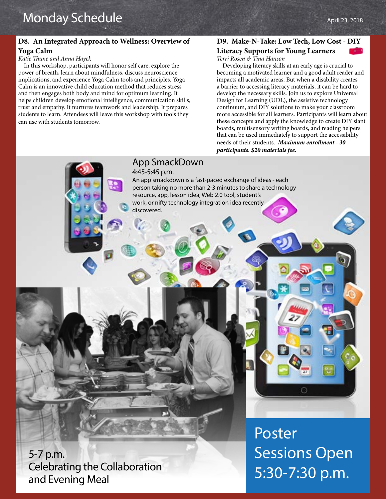# **D8. An Integrated Approach to Wellness: Overview of Yoga Calm**

#### *Katie Thune and Anna Hayek*

In this workshop, participants will honor self care, explore the power of breath, learn about mindfulness, discuss neuroscience implications, and experience Yoga Calm tools and principles. Yoga Calm is an innovative child education method that reduces stress and then engages both body and mind for optimum learning. It helps children develop emotional intelligence, communication skills, trust and empathy. It nurtures teamwork and leadership. It prepares students to learn. Attendees will leave this workshop with tools they can use with students tomorrow.

# **D9. Make-N-Take: Low Tech, Low Cost - DIY**

# **Literacy Supports for Young Learners**

*Terri Rosen & Tina Hanson*

Developing literacy skills at an early age is crucial to becoming a motivated learner and a good adult reader and impacts all academic areas. But when a disability creates a barrier to accessing literacy materials, it can be hard to develop the necessary skills. Join us to explore Universal Design for Learning (UDL), the assistive technology continuum, and DIY solutions to make your classroom more accessible for all learners. Participants will learn about these concepts and apply the knowledge to create DIY slant boards, multisensory writing boards, and reading helpers that can be used immediately to support the accessibility needs of their students. *Maximum enrollment - 30 participants. \$20 materials fee.*

# App SmackDown

4:45-5:45 p.m.

An app smackdown is a fast-paced exchange of ideas - each person taking no more than 2-3 minutes to share a technology resource, app, lesson idea, Web 2.0 tool, student's work, or nifty technology integration idea recently discovered.

5-7 p.m. Celebrating the Collaboration and Evening Meal

Poster Sessions Open 5:30-7:30 p.m.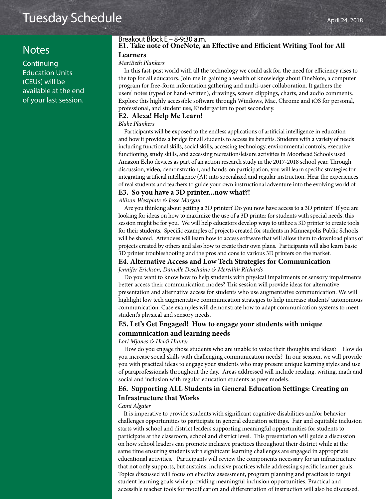# Tuesday Schedule April 24, 2018

# **Notes**

**Continuing** Education Units (CEUs) will be available at the end of your last session.

#### **E1. Take note of OneNote, an Effective and Efficient Writing Tool for All Learners** Breakout Block E – 8-9:30 a.m.

# *MariBeth Plankers*

In this fast-past world with all the technology we could ask for, the need for efficiency rises to the top for all educators. Join me in gaining a wealth of knowledge about OneNote, a computer program for free-form information gathering and multi-user collaboration. It gathers the users' notes (typed or hand-written), drawings, screen clippings, charts, and audio comments. Explore this highly accessible software through Windows, Mac, Chrome and iOS for personal, professional, and student use, Kindergarten to post secondary.

#### **E2. Alexa! Help Me Learn!**

#### *Blake Plankers*

Participants will be exposed to the endless applications of artificial intelligence in education and how it provides a bridge for all students to access its benefits. Students with a variety of needs including functional skills, social skills, accessing technology, environmental controls, executive functioning, study skills, and accessing recreation/leisure activities in Moorhead Schools used Amazon Echo devices as part of an action research study in the 2017-2018 school year. Through discussion, video, demonstration, and hands-on participation, you will learn specific strategies for integrating artificial intelligence (AI) into specialized and regular instruction. Hear the experiences of real students and teachers to guide your own instructional adventure into the evolving world of

#### **E3. So you have a 3D printer...now what?!**

*Allison Westplate & Jesse Morgan*

Are you thinking about getting a 3D printer? Do you now have access to a 3D printer? If you are looking for ideas on how to maximize the use of a 3D printer for students with special needs, this session might be for you. We will help educators develop ways to utilize a 3D printer to create tools for their students. Specific examples of projects created for students in Minneapolis Public Schools will be shared. Attendees will learn how to access software that will allow them to download plans of projects created by others and also how to create their own plans. Participants will also learn basic 3D printer troubleshooting and the pros and cons to various 3D printers on the market.

#### **E4. Alternative Access and Low Tech Strategies for Communication**

*Jennifer Erickson, Danielle Deschaine & Meredith Richards*

Do you want to know how to help students with physical impairments or sensory impairments better access their communication modes? This session will provide ideas for alternative presentation and alternative access for students who use augmentative communication. We will highlight low tech augmentative communication strategies to help increase students' autonomous communication. Case examples will demonstrate how to adapt communication systems to meet student's physical and sensory needs.

#### **E5. Let's Get Engaged! How to engage your students with unique communication and learning needs**

*Lori Mjones & Heidi Hunter*

How do you engage those students who are unable to voice their thoughts and ideas? How do you increase social skills with challenging communication needs? In our session, we will provide you with practical ideas to engage your students who may present unique learning styles and use of paraprofessionals throughout the day. Areas addressed will include reading, writing, math and social and inclusion with regular education students as peer models.

# **E6. Supporting ALL Students in General Education Settings: Creating an Infrastructure that Works**

#### *Cami Algaier*

It is imperative to provide students with significant cognitive disabilities and/or behavior challenges opportunities to participate in general education settings. Fair and equitable inclusion starts with school and district leaders supporting meaningful opportunities for students to participate at the classroom, school and district level. This presentation will guide a discussion on how school leaders can promote inclusive practices throughout their district while at the same time ensuring students with significant learning challenges are engaged in appropriate educational activities. Participants will review the components necessary for an infrastructure that not only supports, but sustains, inclusive practices while addressing specific learner goals. Topics discussed will focus on effective assessment, program planning and practices to target student learning goals while providing meaningful inclusion opportunities. Practical and accessible teacher tools for modification and differentiation of instruction will also be discussed.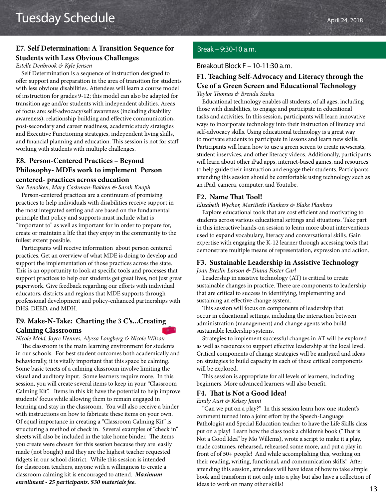# **E7. Self Determination: A Transition Sequence for Students with Less Obvious Challenges**

#### *Estelle Denbrook & Kyle Jensen*

Self Determination is a sequence of instruction designed to offer support and preparation in the area of transition for students with less obvious disabilities. Attendees will learn a course model of instruction for grades 9-12; this model can also be adapted for transition age and/or students with independent abilities. Areas of focus are: self-advocacy/self awareness (including disability awareness), relationship building and effective communication, post-secondary and career readiness, academic study strategies and Executive Functioning strategies, independent living skills, and financial planning and education. This session is not for staff working with students with multiple challenges.

# **E8. Person-Centered Practices – Beyond Philosophy- MDEs work to implement Person centered- practices across education**

*Sue Benolken, Mary Cashman-Bakken & Sarah Knoph*

Person-centered practices are a continuum of promising practices to help individuals with disabilities receive support in the most integrated setting and are based on the fundamental principle that policy and supports must include what is "important to" as well as important for in order to prepare for, create or maintain a life that they enjoy in the community to the fullest extent possible.

Participants will receive information about person centered practices. Get an overview of what MDE is doing to develop and support the implementation of those practices across the state. This is an opportunity to look at specific tools and processes that support practices to help our students get great lives, not just great paperwork. Give feedback regarding our efforts with individual educators, districts and regions that MDE supports through professional development and policy-enhanced partnerships with DHS, DEED, and MDH.

# **E9. Make-N-Take: Charting the 3 C's...Creating Calming Classrooms**

*Nicole Mold, Joyce Hennes, Alyssa Longberg & Nicole Wilson*

The classroom is the main learning environment for students in our schools. For best student outcomes both academically and behaviorally, it is vitally important that this space be calming. Some basic tenets of a calming classroom involve limiting the visual and auditory input. Some learners require more. In this session, you will create several items to keep in your "Classroom Calming Kit". Items in this kit have the potential to help improve students' focus while allowing them to remain engaged in learning and stay in the classroom. You will also receive a binder with instructions on how to fabricate these items on your own. Of equal importance in creating a "Classroom Calming Kit" is structuring a method of check in. Several examples of "check in" sheets will also be included in the take home binder. The items you create were chosen for this session because they are easily made (not bought) and they are the highest teacher requested fidgets in our school district. While this session is intended for classroom teachers, anyone with a willingness to create a classroom calming kit is encouraged to attend. *Maximum enrollment - 25 participants. \$30 materials fee.*

# Break – 9:30-10 a.m.

#### Breakout Block F – 10-11:30 a.m.

# **F1. Teaching Self-Advocacy and Literacy through the Use of a Green Screen and Educational Technology**

*Taylor Thomas & Brenda Szoka*

Educational technology enables all students, of all ages, including those with disabilities, to engage and participate in educational tasks and activities. In this session, participants will learn innovative ways to incorporate technology into their instruction of literacy and self-advocacy skills. Using educational technology is a great way to motivate students to participate in lessons and learn new skills. Participants will learn how to use a green screen to create newscasts, student inservices, and other literacy videos. Additionally, participants will learn about other iPad apps, internet-based games, and resources to help guide their instruction and engage their students. Participants attending this session should be comfortable using technology such as an iPad, camera, computer, and Youtube.

#### **F2. Name That Tool!**

#### *Elizabeth Wychor, MariBeth Plankers & Blake Plankers*

Explore educational tools that are cost efficient and motivating to students across various educational settings and situations. Take part in this interactive hands-on session to learn more about interventions used to expand vocabulary, literacy and conversational skills. Gain expertise with engaging the K-12 learner through accessing tools that demonstrate multiple means of representation, expression and action.

#### **F3. Sustainable Leadership in Assistive Technology**

*Joan Breslin Larson & Diana Foster Carl*

Leadership in assistive technology (AT) is critical to create sustainable changes in practice. There are components to leadership that are critical to success in identifying, implementing and sustaining an effective change system.

This session will focus on components of leadership that occur in educational settings, including the interaction between administration (management) and change agents who build sustainable leadership systems.

Strategies to implement successful changes in AT will be explored as well as resources to support effective leadership at the local level. Critical components of change strategies will be analyzed and ideas on strategies to build capacity in each of these critical components will be explored.

This session is appropriate for all levels of learners, including beginners. More advanced learners will also benefit.

#### **F4. That is Not a Good Idea!**

*Emily Aust & Kelsey Janni*

"Can we put on a play?" In this session learn how one student's comment turned into a joint effort by the Speech-Language Pathologist and Special Education teacher to have the Life Skills class put on a play! Learn how the class took a children's book ("That is Not a Good Idea" by Mo Willems), wrote a script to make it a play, made costumes, rehearsed, rehearsed some more, and put a play in front of of 50+ people! And while accomplishing this, working on their reading, writing, functional, and communication skills! After attending this session, attendees will have ideas of how to take simple book and transform it not only into a play but also have a collection of ideas to work on many other skills!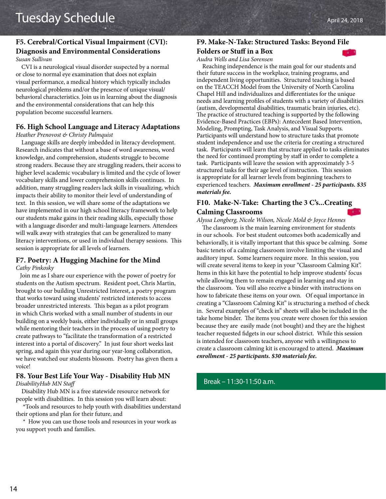#### **F5. Cerebral/Cortical Visual Impairment (CVI): Diagnosis and Environmental Considerations** *Susan Sullivan*

CVI is a neurological visual disorder suspected by a normal or close to normal eye examination that does not explain visual performance, a medical history which typically includes neurological problems and/or the presence of unique visual/ behavioral characteristics. Join us in learning about the diagnosis and the environmental considerations that can help this population become successful learners.

# **F6. High School Language and Literacy Adaptations**

*Heather Prenovost & Christy Palmquist*

Language skills are deeply imbedded in literacy development. Research indicates that without a base of word awareness, word knowledge, and comprehension, students struggle to become strong readers. Because they are struggling readers, their access to higher level academic vocabulary is limited and the cycle of lower vocabulary skills and lower comprehension skills continues. In addition, many struggling readers lack skills in visualizing, which impacts their ability to monitor their level of understanding of text. In this session, we will share some of the adaptations we have implemented in our high school literacy framework to help our students make gains in their reading skills, especially those with a language disorder and multi-language learners. Attendees will walk away with strategies that can be generalized to many literacy interventions, or used in individual therapy sessions. This session is appropriate for all levels of learners.

#### **F7. Poetry: A Hugging Machine for the Mind** *Cathy Pinkosky*

 Join me as I share our experience with the power of poetry for students on the Autism spectrum. Resident poet, Chris Martin, brought to our building Unrestricted Interest, a poetry program that works toward using students' restricted interests to access broader unrestricted interests. This began as a pilot program in which Chris worked with a small number of students in our building on a weekly basis, either individually or in small groups while mentoring their teachers in the process of using poetry to create pathways to "facilitate the transformation of a restricted interest into a portal of discovery." In just four short weeks last spring, and again this year during our year-long collaboration, we have watched our students blossom. Poetry has given them a voice!

# **F8. Your Best Life Your Way - Disability Hub MN** *DisabilityHub MN Staff*

 Disability Hub MN is a free statewide resource network for people with disabilities. In this session you will learn about:

 \*Tools and resources to help youth with disabilities understand their options and plan for their future, and

 \* How you can use those tools and resources in your work as you support youth and families.

# **F9. Make-N-Take: Structured Tasks: Beyond File**

# **Folders or Stuff in a Box**

# *Audra Wells and Lisa Sorensen*

Reaching independence is the main goal for our students and their future success in the workplace, training programs, and independent living opportunities. Structured teaching is based on the TEACCH Model from the University of North Carolina Chapel Hill and individualizes and differentiates for the unique needs and learning profiles of students with a variety of disabilities (autism, developmental disabilities, traumatic brain injuries, etc). The practice of structured teaching is supported by the following Evidence-Based Practices (EBPs): Antecedent Based Intervention, Modeling, Prompting, Task Analysis, and Visual Supports. Participants will understand how to structure tasks that promote student independence and use the criteria for creating a structured task. Participants will learn that structure applied to tasks eliminates the need for continued prompting by staff in order to complete a task. Participants will leave the session with approximately 3-5 structured tasks for their age level of instruction. This session is appropriate for all learner levels from beginning teachers to experienced teachers. *Maximum enrollment - 25 participants. \$35 materials fee.*

# **F10. Make-N-Take: Charting the 3 C's...Creating Calming Classrooms**

*Alyssa Longberg, Nicole Wilson, Nicole Mold & Joyce Hennes*

The classroom is the main learning environment for students in our schools. For best student outcomes both academically and behaviorally, it is vitally important that this space be calming. Some basic tenets of a calming classroom involve limiting the visual and auditory input. Some learners require more. In this session, you will create several items to keep in your "Classroom Calming Kit". Items in this kit have the potential to help improve students' focus while allowing them to remain engaged in learning and stay in the classroom. You will also receive a binder with instructions on how to fabricate these items on your own. Of equal importance in creating a "Classroom Calming Kit" is structuring a method of check in. Several examples of "check in" sheets will also be included in the take home binder. The items you create were chosen for this session because they are easily made (not bought) and they are the highest teacher requested fidgets in our school district. While this session is intended for classroom teachers, anyone with a willingness to create a classroom calming kit is encouraged to attend. *Maximum enrollment - 25 participants. \$30 materials fee.*

# Break – 11:30-11:50 a.m.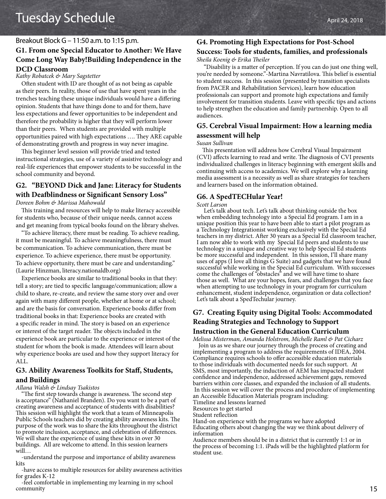#### Breakout Block G – 11:50 a.m. to 1:15 p.m.

# **G1. From one Special Educator to Another: We Have Come Long Way Baby!Building Independence in the DCD Classroom**

*Kathy Robatcek & Mary Sagstetter*

Often student with ID are thought of as not being as capable as their peers. In reality, those of use that have spent years in the trenches teaching these unique individuals would have a differing opinion. Students that have things done to and for them, have less expectations and fewer opportunities to be independent and therefore the probability is higher that they will perform lower than their peers. When students are provided with multiple opportunities paired with high expectations …. They ARE capable of demonstrating growth and progress in way never imagine.

This beginner level session will provide tried and tested instructional strategies, use of a variety of assistive technology and real-life experiences that empower students to be successful in the school community and beyond.

# **G2. "BEYOND Dick and Jane: Literacy for Students with Deafblindness or Significant Sensory Loss"**

*Doreen Bohm & Marissa Mahowald*

This training and resources will help to make literacy accessible for students who, because of their unique needs, cannot access and get meaning from typical books found on the library shelves.

"To achieve literacy, there must be reading. To achieve reading, it must be meaningful. To achieve meaningfulness, there must be communication. To achieve communication, there must be experience. To achieve experience, there must be opportunity. To achieve opportunity, there must be care and understanding." (Laurie Hinzman, literacy.nationaldb.org)

Experience books are similar to traditional books in that they: tell a story; are tied to specific language/communication; allow a child to share, re-create, and review the same story over and over again with many different people, whether at home or at school; and are the basis for conversation. Experience books differ from traditional books in that: Experience books are created with a specific reader in mind. The story is based on an experience or interest of the target reader. The objects included in the experience book are particular to the experience or interest of the student for whom the book is made. Attendees will learn about why experience books are used and how they support literacy for ALL.

#### **G3. Ability Awareness Toolkits for Staff, Students, and Buildings**

*Allana Walsh & Lindsay Tsakistos*

"The first step towards change is awareness. The second step is acceptance" (Nathaniel Branden). Do you want to be a part of creating awareness and acceptance of students with disabilities? This session will highlight the work that a team of Minneapolis Public Schools teachers did by creating ability awareness kits. The purpose of the work was to share the kits throughout the district to promote inclusion, acceptance, and celebration of differences. We will share the experience of using these kits in over 30 buildings. All are welcome to attend. In this session learners will…

-understand the purpose and importance of ability awareness kits

-have access to multiple resources for ability awareness activities for grades K-12

-feel comfortable in implementing my learning in my school community

# **G4. Promoting High Expectations for Post-School**

#### **Success: Tools for students, families, and professionals** *Sheila Koenig & Erika Theiler*

 "Disability is a matter of perception. If you can do just one thing well, you're needed by someone."-Martina Navratilova. This belief is essential to student success. In this session (presented by transition specialists from PACER and Rehabilitation Services), learn how education professionals can support and promote high expectations and family involvement for transition students. Leave with specific tips and actions to help strengthen the education and family partnership. Open to all audiences.

# **G5. Cerebral Visual Impairment: How a learning media assessment will help**

#### *Susan Sullivan*

This presentation will address how Cerebral Visual Impairment (CVI) affects learning to read and write. The diagnosis of CVI presents individualized challenges in literacy beginning with emergent skills and continuing with access to academics. We will explore why a learning media assessment is a necessity as well as share strategies for teachers and learners based on the information obtained.

#### **G6. A SpedTECHular Year!**

#### *Scott Larson*

 Let's talk about tech. Let's talk about thinking outside the box when embedding technology into a Special Ed program. I am in a unique position this year to have been able to start a pilot program as a Technology Integrationist working exclusively with the Special Ed teachers in my district. After 30 years as a Special Ed classroom teacher, I am now able to work with my Special Ed peers and students to use technology in a unique and creative way to help Special Ed students be more successful and independent. In this session, I'll share many uses of apps (I love all things G Suite) and gadgets that we have found successful while working in the Special Ed curriculum. With successes come the challenges of "obstacles" and we will have time to share those as well. What are your hopes, fears, and challenges that you face when attempting to use technology in your program for curriculum enhancement, student independence, organization or data collection? Let's talk about a SpedTechular journey.

# **G7. Creating Equity using Digital Tools: Accommodated Reading Strategies and Technology to Support Instruction in the General Education Curriculum**

*Melissa Misterman, Amanda Holstrom, Michelle Raml & Pat Cicharz*

 Join us as we share our journey through the process of creating and implementing a program to address the requirements of IDEA, 2004. Compliance requires schools to offer accessible education materials to those individuals with documented needs for such support. At SMS, most importantly, the induction of AEM has impacted student confidence and independence, addressed achievement gaps, removed barriers within core classes, and expanded the inclusion of all students. In this session we will cover the process and procedure of implementing an Accessible Education Materials program including:

Timeline and lessons learned

Resources to get started

Student reflection

Hand-on experience with the programs we have adopted Educating others about changing the way we think about delivery of information

Audience members should be in a district that is currently 1:1 or in the process of becoming 1:1. iPads will be the highlighted platform for student use.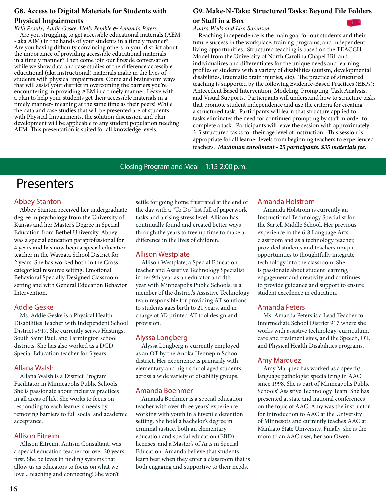# **G8. Access to Digital Materials for Students with Physical Impairments**

*Kelli Proulx, Addie Geske, Holly Pemble & Amanda Peters* Are you struggling to get accessible educational materials (AEM - aka AIM) in the hands of your students in a timely manner? Are you having difficulty convincing others in your district about the importance of providing accessible educational materials in a timely manner? Then come join our fireside conversation while we show data and case studies of the difference accessible educational (aka instructional) materials make in the lives of students with physical impairments. Come and brainstorm ways that will assist your district in overcoming the barriers you're encountering in providing AEM in a timely manner. Leave with a plan to help your students get their accessible materials in a timely manner- meaning at the same time as their peers! While the data and case studies that will be presented are of students with Physical Impairments, the solution discussion and plan development will be applicable to any student population needing AEM. This presentation is suited for all knowledge levels.

# **G9. Make-N-Take: Structured Tasks: Beyond File Folders or Stuff in a Box**

*Audra Wells and Lisa Sorensen*

Reaching independence is the main goal for our students and their future success in the workplace, training programs, and independent living opportunities. Structured teaching is based on the TEACCH Model from the University of North Carolina Chapel Hill and individualizes and differentiates for the unique needs and learning profiles of students with a variety of disabilities (autism, developmental disabilities, traumatic brain injuries, etc). The practice of structured teaching is supported by the following Evidence-Based Practices (EBPs): Antecedent Based Intervention, Modeling, Prompting, Task Analysis, and Visual Supports. Participants will understand how to structure tasks that promote student independence and use the criteria for creating a structured task. Participants will learn that structure applied to tasks eliminates the need for continued prompting by staff in order to complete a task. Participants will leave the session with approximately 3-5 structured tasks for their age level of instruction. This session is appropriate for all learner levels from beginning teachers to experienced teachers. *Maximum enrollment - 25 participants. \$35 materials fee.*

# Closing Program and Meal – 1:15-2:00 p.m.

# Presenters

# Abbey Stanton

Abbey Stanton received her undergraduate degree in psychology from the University of Kansas and her Master's Degree in Special Education from Bethel University. Abbey was a special education paraprofessional for 4 years and has now been a special education teacher in the Wayzata School District for 2 years. She has worked both in the Crosscategorical resource setting, Emotional Behavioral Specially Designed Classroom setting and with General Education Behavior Intervention.

# Addie Geske

Ms. Addie Geske is a Physical Health Disabilities Teacher with Independent School District #917. She currently serves Hastings, South Saint Paul, and Farmington school districts. She has also worked as a DCD Special Education teacher for 5 years.

#### Allana Walsh

Allana Walsh is a District Program Facilitator in Minneapolis Public Schools. She is passionate about inclusive practices in all areas of life. She works to focus on responding to each learner's needs by removing barriers to full social and academic acceptance.

# Allison Eitreim

Allison Eitreim, Autism Consultant, was a special education teacher for over 20 years first. She believes in finding systems that allow us as educators to focus on what we love... teaching and connecting! She won't

settle for going home frustrated at the end of the day with a "To Do" list full of paperwork tasks and a rising stress level. Allison has continually found and created better ways through the years to free up time to make a difference in the lives of children.

# Allison Westplate

Allison Westplate, a Special Education teacher and Assistive Technology Specialist in her 9th year as an educator and 4th year with Minneapolis Public Schools, is a member of the district's Assistive Technology team responsible for providing AT solutions to students ages birth to 21 years, and in charge of 3D printed AT tool design and provision.

# Alyssa Longberg

Alyssa Longberg is currently employed as an OT by the Anoka Hennepin School district. Her experience is primarily with elementary and high school aged students across a wide variety of disability groups.

# Amanda Boehmer

Amanda Boehmer is a special education teacher with over three years' experience working with youth in a juvenile detention setting. She hold a bachelor's degree in criminal justice, both an elementary education and special education (EBD) licenses, and a Master's of Arts in Special Education. Amanda believe that students learn best when they enter a classroom that is both engaging and supportive to their needs.

#### Amanda Holstrom

Amanda Holstrom is currently an Instructional Technology Specialist for the Sartell Middle School. Her previous experience in the 6-8 Language Arts classroom and as a technology teacher, provided students and teachers unique opportunities to thoughtfully integrate technology into the classroom. She is passionate about student learning, engagement and creativity and continues to provide guidance and support to ensure student excellence in education.

#### Amanda Peters

Ms. Amanda Peters is a Lead Teacher for Intermediate School District 917 where she works with assistive technology, curriculum, care and treatment sites, and the Speech, OT, and Physical Health Disabilities programs.

# Amy Marquez

Amy Marquez has worked as a speech/ language pathologist specializing in AAC since 1998. She is part of Minneapolis Public Schools' Assistive Technology Team. She has presented at state and national conferences on the topic of AAC. Amy was the instructor for Introduction to AAC at the University of Minnesota and currently teaches AAC at Mankato State University. Finally, she is the mom to an AAC user, her son Owen.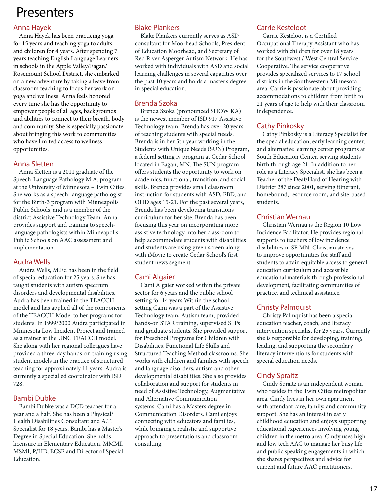# Anna Hayek

Anna Hayek has been practicing yoga for 15 years and teaching yoga to adults and children for 4 years. After spending 7 years teaching English Language Learners in schools in the Apple Valley/Eagan/ Rosemount School District, she embarked on a new adventure by taking a leave from classroom teaching to focus her work on yoga and wellness. Anna feels honored every time she has the opportunity to empower people of all ages, backgrounds and abilities to connect to their breath, body and community. She is especially passionate about bringing this work to communities who have limited access to wellness opportunities.

# Anna Sletten

Anna Sletten is a 2011 graduate of the Speech-Language Pathology M.A. program at the University of Minnesota – Twin Cities. She works as a speech-language pathologist for the Birth-3 program with Minneapolis Public Schools, and is a member of the district Assistive Technology Team. Anna provides support and training to speechlanguage pathologists within Minneapolis Public Schools on AAC assessment and implementation.

# Audra Wells

Audra Wells, M.Ed has been in the field of special education for 25 years. She has taught students with autism spectrum disorders and developmental disabilities. Audra has been trained in the TEACCH model and has applied all of the components of the TEACCH Model to her programs for students. In 1999/2000 Audra participated in Minnesota Low Incident Project and trained as a trainer at the UNC TEACCH model. She along with her regional colleagues have provided a three-day hands-on training using student models in the practice of structured teaching for approximately 11 years. Audra is currently a special ed coordinator with ISD 728.

# Bambi Dubke

Bambi Dubke was a DCD teacher for a year and a half. She has been a Physical/ Health Disabilities Consultant and A.T. Specialist for 18 years. Bambi has a Master's Degree in Special Education. She holds licensure in Elementary Education, MMMI, MSMI, P/HD, ECSE and Director of Special Education.

# Blake Plankers

Blake Plankers currently serves as ASD consultant for Moorhead Schools, President of Education Moorhead, and Secretary of Red River Asperger Autism Network. He has worked with individuals with ASD and social learning challenges in several capacities over the past 10 years and holds a master's degree in special education.

# Brenda Szoka

Brenda Szoka (pronounced SHOW KA) is the newest member of ISD 917 Assistive Technology team. Brenda has over 20 years of teaching students with special needs. Brenda is in her 5th year working in the Students with Unique Needs (SUN) Program, a federal setting iv program at Cedar School located in Eagan, MN. The SUN program offers students the opportunity to work on academics, functional, transition, and social skills. Brenda provides small classroom instruction for students with ASD, EBD, and OHD ages 15-21. For the past several years, Brenda has been developing transitions curriculum for her site. Brenda has been focusing this year on incorporating more assistive technology into her classroom to help accommodate students with disabilities and students are using green screen along with iMovie to create Cedar School's first student news segment.

# Cami Algaier

Cami Algaier worked within the private sector for 6 years and the public school setting for 14 years.Within the school setting Cami was a part of the Assistive Technology team, Autism team, provided hands-on STAR training, supervised SLPs and graduate students. She provided support for Preschool Programs for Children with Disabilities, Functional Life Skills and Structured Teaching Method classrooms. She works with children and families with speech and language disorders, autism and other developmental disabilities. She also provides collaboration and support for students in need of Assistive Technology, Augmentative and Alternative Communication systems. Cami has a Masters degree in Communication Disorders. Cami enjoys connecting with educators and families, while bringing a realistic and supportive approach to presentations and classroom consulting.

# Carrie Kesteloot

Carrie Kesteloot is a Certified Occupational Therapy Assistant who has worked with children for over 18 years for the Southwest / West Central Service Cooperative. The service cooperative provides specialized services to 17 school districts in the Southwestern Minnesota area. Carrie is passionate about providing accommodations to children from birth to 21 years of age to help with their classroom independence.

# Cathy Pinkosky

Cathy Pinkosky is a Literacy Specialist for the special education, early learning center, and alternative learning center programs at South Education Center, serving students birth through age 21. In addition to her role as a Literacy Specialist, she has been a Teacher of the Deaf/Hard of Hearing with District 287 since 2001, serving itinerant, homebound, resource room, and site-based students.

# Christian Wernau

Christian Wernau is the Region 10 Low Incidence Facilitator. He provides regional supports to teachers of low incidence disabilities in SE MN. Christian strives to improve opportunities for staff and students to attain equitable access to general education curriculum and accessible educational materials through professional development, facilitating communities of practice, and technical assistance.

# Christy Palmquist

Christy Palmquist has been a special education teacher, coach, and literacy intervention specialist for 25 years. Currently she is responsible for developing, training, leading, and supporting the secondary literacy interventions for students with special education needs.

# Cindy Spraitz

Cindy Spraitz is an independent woman who resides in the Twin Cities metropolitan area. Cindy lives in her own apartment with attendant care, family, and community support. She has an interest in early childhood education and enjoys supporting educational experiences involving young children in the metro area. Cindy uses high and low tech AAC to manage her busy life and public speaking engagements in which she shares perspectives and advice for current and future AAC practitioners.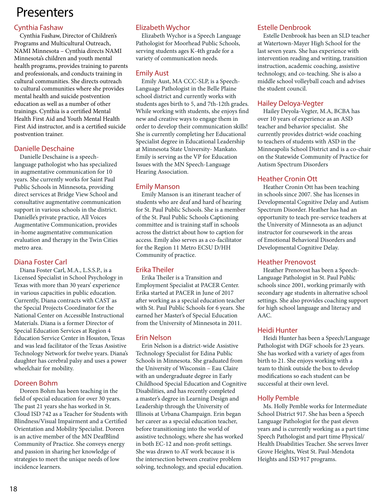# Cynthia Fashaw

Cynthia Fashaw, Director of Children's Programs and Multicultural Outreach, NAMI Minnesota – Cynthia directs NAMI Minnesota's children and youth mental health programs, provides training to parents and professionals, and conducts training in cultural communities. She directs outreach to cultural communities where she provides mental health and suicide postvention education as well as a number of other trainings. Cynthia is a certified Mental Health First Aid and Youth Mental Health First Aid instructor, and is a certified suicide postvention trainer.

# Danielle Deschaine

Danielle Deschaine is a speechlanguage pathologist who has specialized in augmentative communication for 10 years. She currently works for Saint Paul Public Schools in Minnesota, providing direct services at Bridge View School and consultative augmentative communication support in various schools in the district. Danielle's private practice, All Voices Augmentative Communication, provides in-home augmentative communication evaluation and therapy in the Twin Cities metro area.

# Diana Foster Carl

Diana Foster Carl, M.A., L.S.S.P., is a Licensed Specialist in School Psychology in Texas with more than 30 years' experience in various capacities in public education. Currently, Diana contracts with CAST as the Special Projects Coordinator for the National Center on Accessible Instructional Materials. Diana is a former Director of Special Education Services at Region 4 Education Service Center in Houston, Texas and was lead facilitator of the Texas Assistive Technology Network for twelve years. Diana's daughter has cerebral palsy and uses a power wheelchair for mobility.

# Doreen Bohm

Doreen Bohm has been teaching in the field of special education for over 30 years. The past 21 years she has worked in St. Cloud ISD 742 as a Teacher for Students with Blindness/Visual Impairment and a Certified Orientation and Mobility Specialist. Doreen is an active member of the MN DeafBlind Community of Practice. She conveys energy and passion in sharing her knowledge of strategies to meet the unique needs of low incidence learners.

# Elizabeth Wychor

Elizabeth Wychor is a Speech Language Pathologist for Moorhead Public Schools, serving students ages K-4th grade for a variety of communication needs.

# Emily Aust

Emily Aust, MA CCC-SLP, is a Speech-Language Pathologist in the Belle Plaine school district and currently works with students ages birth to 5, and 7th-12th grades. While working with students, she enjoys find new and creative ways to engage them in order to develop their communication skills! She is currently completing her Educational Specialist degree in Educational Leadership at Minnesota State University- Mankato. Emily is serving as the VP for Education Issues with the MN Speech-Language Hearing Association.

# Emily Manson

Emily Manson is an itinerant teacher of students who are deaf and hard of hearing for St. Paul Public Schools. She is a member of the St. Paul Public Schools Captioning committee and is training staff in schools across the district about how to caption for access. Emily also serves as a co-facilitator for the Region 11 Metro ECSU D/HH Community of practice.

# Erika Theiler

Erika Theiler is a Transition and Employment Specialist at PACER Center. Erika started at PACER in June of 2017 after working as a special education teacher with St. Paul Public Schools for 6 years. She earned her Master's of Special Education from the University of Minnesota in 2011.

# Erin Nelson

Erin Nelson is a district-wide Assistive Technology Specialist for Edina Public Schools in Minnesota. She graduated from the University of Wisconsin – Eau Claire with an undergraduate degree in Early Childhood Special Education and Cognitive Disabilities, and has recently completed a master's degree in Learning Design and Leadership through the University of Illinois at Urbana Champaign. Erin began her career as a special education teacher, before transitioning into the world of assistive technology, where she has worked in both EC-12 and non-profit settings. She was drawn to AT work because it is the intersection between creative problem solving, technology, and special education.

# Estelle Denbrook

Estelle Denbrook has been an SLD teacher at Watertown-Mayer High School for the last seven years. She has experience with intervention reading and writing, transition instruction, academic coaching, assistive technology, and co-teaching. She is also a middle school volleyball coach and advises the student council.

# Hailey Deloya-Vegter

Hailey Deyola-Vegter, M.A, BCBA has over 10 years of experience as an ASD teacher and behavior specialist. She currently provides district-wide coaching to teachers of students with ASD in the Minneapolis School District and is a co-chair on the Statewide Community of Practice for Autism Spectrum Disorders

# Heather Cronin Ott

Heather Cronin Ott has been teaching in schools since 2007. She has licenses in Developmental Cognitive Delay and Autism Spectrum Disorder. Heather has had an opportunity to teach pre-service teachers at the University of Minnesota as an adjunct instructor for coursework in the areas of Emotional Behavioral Disorders and Developmental Cognitive Delay.

# Heather Prenovost

Heather Prenovost has been a Speech-Language Pathologist in St. Paul Public schools since 2001, working primarily with secondary age students in alternative school settings. She also provides coaching support for high school language and literacy and AAC.

# Heidi Hunter

Heidi Hunter has been a Speech/Language Pathologist with DGF schools for 23 years. She has worked with a variety of ages from birth to 21. She enjoys working with a team to think outside the box to develop modifications so each student can be successful at their own level.

# Holly Pemble

Ms. Holly Pemble works for Intermediate School District 917. She has been a Speech Language Pathologist for the past eleven years and is currently working as a part time Speech Pathologist and part time Physical/ Health Disabilities Teacher. She serves Inver Grove Heights, West St. Paul-Mendota Heights and ISD 917 programs.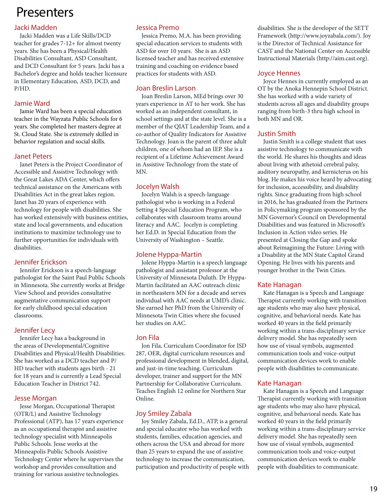# Jacki Madden

Jacki Madden was a Life Skills/DCD teacher for grades 7-12+ for almost twenty years. She has been a Physical/Health Disabilities Consultant, ASD Consultant, and DCD Consultant for 5 years. Jacki has a Bachelor's degree and holds teacher licensure in Elementary Education, ASD, DCD, and P/HD.

# Jamie Ward

Jamie Ward has been a special education teacher in the Wayzata Public Schools for 6 years. She completed her masters degree at St. Cloud State. She is extremely skilled in behavior regulation and social skills.

# Janet Peters

Janet Peters is the Project Coordinator of Accessible and Assistive Technology with the Great Lakes ADA Center, which offers technical assistance on the Americans with Disabilities Act in the great lakes region. Janet has 20 years of experience with technology for people with disabilities. She has worked extensively with business entities, state and local governments, and education institutions to maximize technology use to further opportunities for individuals with disabilities.

# Jennifer Erickson

Jennifer Erickson is a speech-language pathologist for the Saint Paul Public Schools in Minnesota. She currently works at Bridge View School and provides consultative augmentative communication support for early childhood special education classrooms.

# Jennifer Lecy

Jennifer Lecy has a background in the areas of Developmental/Cognitive Disabilities and Physical/Health Disabilities. She has worked as a DCD teacher and P/ HD teacher with students ages birth - 21 for 18 years and is currently a Lead Special Education Teacher in District 742.

# Jesse Morgan

Jesse Morgan, Occupational Therapist (OTR/L) and Assistive Technology Professional (ATP), has 17 years experience as an occupational therapist and assistive technology specialist with Minneapolis Public Schools. Jesse works at the Minneapolis Public Schools Assistive Technology Center where he supervises the workshop and provides consultation and training for various assistive technologies.

# Jessica Premo

Jessica Premo, M.A. has been providing special education services to students with ASD for over 10 years. She is an ASD licensed teacher and has received extensive training and coaching on evidence based practices for students with ASD.

# Joan Breslin Larson

Joan Breslin Larson, MEd brings over 30 years experience in AT to her work. She has worked as an independent consultant, in school settings and at the state level. She is a member of the QIAT Leadership Team, and a co-author of Quality Indicators for Assistive Technology. Joan is the parent of three adult children, one of whom had an IEP. She is a recipient of a Lifetime Achievement Award in Assistive Technology from the state of MN.

# Jocelyn Walsh

Jocelyn Walsh is a speech-language pathologist who is working in a Federal Setting 4 Special Education Program, who collaborates with classroom teams around literacy and AAC. Jocelyn is completing her Ed.D. in Special Education from the University of Washington – Seattle.

# Jolene Hyppa-Martin

Jolene Hyppa-Martin is a speech language pathologist and assistant professor at the University of Minnesota Duluth. Dr Hyppa-Martin facilitated an AAC outreach clinic in northeastern MN for a decade and serves individual with AAC needs at UMD's clinic. She earned her PhD from the University of Minnesota Twin Cities where she focused her studies on AAC.

# Jon Fila

Jon Fila, Curriculum Coordinator for ISD 287, OER, digital curriculum resources and professional development in blended, digital, and just-in-time teaching. Curriculum developer, trainer and support for the MN Partnership for Collaborative Curriculum. Teaches English 12 online for Northern Star Online.

# Joy Smiley Zabala

Joy Smiley Zabala, Ed.D., ATP, is a general and special educator who has worked with students, families, education agencies, and others across the USA and abroad for more than 25 years to expand the use of assistive technology to increase the communication, participation and productivity of people with disabilities. She is the developer of the SETT Framework (http://www.joyzabala.com/). Joy is the Director of Technical Assistance for CAST and the National Center on Accessible Instructional Materials (http://aim.cast.org).

# Joyce Hennes

Joyce Hennes in currently employed as an OT by the Anoka Hennepin School District. She has worked with a wide variety of students across all ages and disability groups ranging from birth-3 thru high school in both MN and OR.

# Justin Smith

Justin Smith is a college student that uses assistive technology to communicate with the world. He shares his thoughts and ideas about living with athetoid cerebral palsy, auditory neuropathy, and kernicterus on his blog. He makes his voice heard by advocating for inclusion, accessibility, and disability rights. Since graduating from high school in 2016, he has graduated from the Partners in Policymaking program sponsored by the MN Governor's Council on Developmental Disabilities and was featured in Microsoft's Inclusion in Action video series. He presented at Closing the Gap and spoke about Reimagining the Future: Living with a Disability at the MN State Capitol Grand Opening. He lives with his parents and younger brother in the Twin Cities.

# Kate Hanagan

Kate Hanagan is a Speech and Language Therapist currently working with transition age students who may also have physical, cognitive, and behavioral needs. Kate has worked 40 years in the field primarily working within a trans-disciplinary service delivery model. She has repeatedly seen how use of visual symbols, augmented communication tools and voice-output communication devices work to enable people with disabilities to communicate.

# Kate Hanagan

Kate Hanagan is a Speech and Language Therapist currently working with transition age students who may also have physical, cognitive, and behavioral needs. Kate has worked 40 years in the field primarily working within a trans-disciplinary service delivery model. She has repeatedly seen how use of visual symbols, augmented communication tools and voice-output communication devices work to enable people with disabilities to communicate.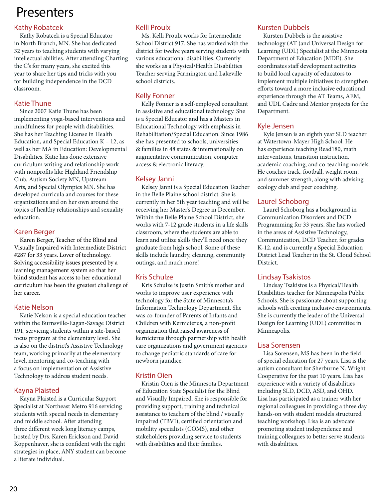# Kathy Robatcek

Kathy Robatcek is a Special Educator in North Branch, MN. She has dedicated 32 years to teaching students with varying intellectual abilities. After attending Charting the C's for many years, she excited this year to share her tips and tricks with you for building independence in the DCD classroom.

# Katie Thune

Since 2007 Katie Thune has been implementing yoga-based interventions and mindfulness for people with disabilities. She has her Teaching License in Health Education, and Special Education K – 12, as well as her MA in Education: Developmental Disabilities. Katie has done extensive curriculum writing and relationship work with nonprofits like Highland Friendship Club, Autism Society MN, Upstream Arts, and Special Olympics MN. She has developed curricula and courses for these organizations and on her own around the topics of healthy relationships and sexuality education.

#### Karen Berger

Karen Berger, Teacher of the Blind and Visually Impaired with Intermediate District #287 for 33 years. Lover of technology. Solving accessibility issues presented by a learning management system so that her blind student has access to her educational curriculum has been the greatest challenge of her career.

# Katie Nelson

Katie Nelson is a special education teacher within the Burnsville-Eagan-Savage District 191, servicing students within a site-based focus program at the elementary level. She is also on the district's Assistive Technology team, working primarily at the elementary level, mentoring and co-teaching with a focus on implementation of Assistive Technology to address student needs.

# Kayna Plaisted

Kayna Plaisted is a Curricular Support Specialist at Northeast Metro 916 servicing students with special needs in elementary and middle school. After attending three different week long literacy camps, hosted by Drs. Karen Erickson and David Koppenhaver, she is confident with the right strategies in place, ANY student can become a literate individual.

# Kelli Proulx

Ms. Kelli Proulx works for Intermediate School District 917. She has worked with the district for twelve years serving students with various educational disabilities. Currently she works as a Physical/Health Disabilities Teacher serving Farmington and Lakeville school districts.

# Kelly Fonner

Kelly Fonner is a self-employed consultant in assistive and educational technology. She is a Special Educator and has a Masters in Educational Technology with emphasis in Rehabilitation/Special Education. Since 1986 she has presented to schools, universities & families in 48 states & internationally on augmentative communication, computer access & electronic literacy.

# Kelsey Janni

Kelsey Janni is a Special Education Teacher in the Belle Plaine school district. She is currently in her 5th year teaching and will be receiving her Master's Degree in December. Within the Belle Plaine School District, she works with 7-12 grade students in a life skills classroom, where the students are able to learn and utilize skills they'll need once they graduate from high school. Some of these skills include laundry, cleaning, community outings, and much more!

# Kris Schulze

Kris Schulze is Justin Smith's mother and works to improve user experience with technology for the State of Minnesota's Information Technology Department. She was co-founder of Parents of Infants and Children with Kernicterus, a non-profit organization that raised awareness of kernicterus through partnership with health care organizations and government agencies to change pediatric standards of care for newborn jaundice.

# Kristin Oien

Kristin Oien is the Minnesota Department of Education State Specialist for the Blind and Visually Impaired. She is responsible for providing support, training and technical assistance to teachers of the blind / visually impaired (TBVI), certified orientation and mobility specialists (COMS), and other stakeholders providing service to students with disabilities and their families.

# Kursten Dubbels

Kursten Dubbels is the assistive technology (AT )and Universal Design for Learning (UDL) Specialist at the Minnesota Department of Education (MDE). She coordinates staff development activities to build local capacity of educators to implement multiple initiatives to strengthen efforts toward a more inclusive educational experience through the AT Teams, AEM, and UDL Cadre and Mentor projects for the Department.

# Kyle Jensen

Kyle Jensen is an eighth year SLD teacher at Watertown-Mayer High School. He has experience teaching Read180, math interventions, transition instruction, academic coaching, and co-teaching models. He coaches track, football, weight room, and summer strength, along with advising ecology club and peer coaching.

# Laurel Schoborg

Laurel Schoborg has a background in Communication Disorders and DCD Programming for 33 years. She has worked in the areas of Assistive Technology, Communication, DCD Teacher, for grades K-12, and is currently a Special Education District Lead Teacher in the St. Cloud School District.

# Lindsay Tsakistos

Lindsay Tsakistos is a Physical/Health Disabilities teacher for Minneapolis Public Schools. She is passionate about supporting schools with creating inclusive environments. She is currently the leader of the Universal Design for Learning (UDL) committee in Minneapolis.

# Lisa Sorensen

Lisa Sorensen, MS has been in the field of special education for 27 years. Lisa is the autism consultant for Sherburne N. Wright Cooperative for the past 10 years. Lisa has experience with a variety of disabilities including SLD, DCD, ASD, and OHD. Lisa has participated as a trainer with her regional colleagues in providing a three day hands-on with student models structured teaching workshop. Lisa is an advocate promoting student independence and training colleagues to better serve students with disabilities.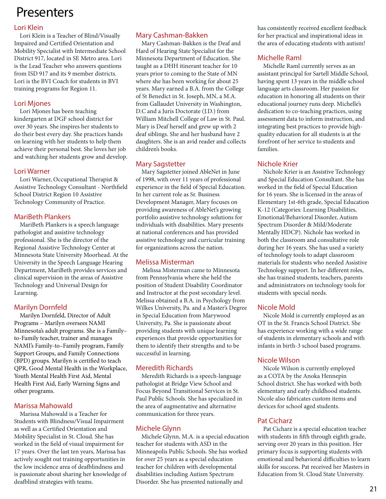# Lori Klein

Lori Klein is a Teacher of Blind/Visually Impaired and Certified Orientation and Mobility Specialist with Intermediate School District 917, located in SE Metro area. Lori is the Lead Teacher who answers questions from ISD 917 and its 9 member districts. Lori is the BVI Coach for students in BVI training programs for Region 11.

# Lori Mjones

Lori Mjones has been teaching kindergarten at DGF school district for over 30 years. She inspires her students to do their best every day. She practices hands on learning with her students to help them achieve their personal best. She loves her job and watching her students grow and develop.

# Lori Warner

Lori Warner, Occupational Therapist & Assistive Technology Consultant - Northfield School District Region 10 Assistive Technology Community of Practice.

# MariBeth Plankers

MariBeth Plankers is a speech language pathologist and assistive technology professional. She is the director of the Regional Assistive Technology Center at Minnesota State University Moorhead. At the University in the Speech Language Hearing Department, MariBeth provides services and clinical supervision in the areas of Assistive Technology and Universal Design for Learning.

# Marilyn Dornfeld

Marilyn Dornfeld, Director of Adult Programs – Marilyn oversees NAMI Minnesota's adult programs. She is a Family– to-Family teacher, trainer and manages NAMI's Family-to–Family program, Family Support Groups, and Family Connections (BPD) groups. Marilyn is certified to teach QPR, Good Mental Health in the Workplace, Youth Mental Health First Aid, Mental Health First Aid, Early Warning Signs and other programs.

# Marissa Mahowald

Marissa Mahowald is a Teacher for Students with Blindness/Visual Impairment as well as a Certified Orientation and Mobility Specialist in St. Cloud. She has worked in the field of visual impairment for 17 years. Over the last ten years, Marissa has actively sought out training opportunities in the low incidence area of deafblindness and is passionate about sharing her knowledge of deafblind strategies with teams.

# Mary Cashman-Bakken

Mary Cashman-Bakken is the Deaf and Hard of Hearing State Specialist for the Minnesota Department of Education. She taught as a DHH itinerant teacher for 10 years prior to coming to the State of MN where she has been working for about 25 years. Mary earned a B.A. from the College of St Benedict in St. Joseph, MN, a M.A. from Gallaudet University in Washington, D.C and a Juris Doctorate (J.D.) from William Mitchell College of Law in St. Paul. Mary is Deaf herself and grew up with 2 deaf siblings. She and her husband have 2 daughters. She is an avid reader and collects children's books.

# Mary Sagstetter

Mary Sagstetter joined AbleNet in June of 1998, with over 11 years of professional experience in the field of Special Education. In her current role as Sr. Business Development Manager, Mary focuses on providing awareness of AbleNet's growing portfolio assistive technology solutions for individuals with disabilities. Mary presents at national conferences and has provided assistive technology and curricular training for organizations across the nation.

# Melissa Misterman

 Melissa Misterman came to Minnesota from Pennsylvania where she held the position of Student Disability Coordinator and Instructor at the post secondary level. Melissa obtained a B.A. in Psychology from Wilkes University, Pa. and a Master's Degree in Special Education from Marywood University, Pa. She is passionate about providing students with unique learning experiences that provide opportunities for them to identify their strengths and to be successful in learning.

# Meredith Richards

Meredith Richards is a speech-language pathologist at Bridge View School and Focus Beyond Transitional Services in St. Paul Public Schools. She has specialized in the area of augmentative and alternative communication for three years.

# Michele Glynn

Michele Glynn, M.A. is a special education teacher for students with ASD in the Minneapolis Public Schools. She has worked for over 25 years as a special education teacher for children with developmental disabilities including Autism Spectrum Disorder. She has presented nationally and

has consistently received excellent feedback for her practical and inspirational ideas in the area of educating students with autism!

# Michelle Raml

Michelle Raml currently serves as an assistant principal for Sartell Middle School, having spent 13 years in the middle school language arts classroom. Her passion for education in honoring all students on their educational journey runs deep. Michelle's dedication to co-teaching practices, using assessment data to inform instruction, and integrating best practices to provide highquality education for all students is at the forefront of her service to students and families.

# Nichole Krier

Nichole Krier is an Assistive Technology and Special Education Consultant. She has worked in the field of Special Education for 16 years. She is licensed in the areas of Elementary 1st-6th grade, Special Education K-12 (Categories: Learning Disabilities, Emotional/Behavioral Disorder, Autism Spectrum Disorder & Mild/Moderate Mentally HDCP). Nichole has worked in both the classroom and consultative role during her 16 years. She has used a variety of technology tools to adapt classroom materials for students who needed Assistive Technology support. In her different roles, she has trained students, teachers, parents and administrators on technology tools for students with special needs.

# Nicole Mold

Nicole Mold is currently employed as an OT in the St. Francis School District. She has experience working with a wide range of students in elementary schools and with infants in birth-3 school based programs.

# Nicole Wilson

Nicole Wilson is currently employed as a COTA by the Anoka Hennepin School district. She has worked with both elementary and early childhood students. Nicole also fabricates custom items and devices for school aged students.

# Pat Cicharz

Pat Cicharz is a special education teacher with students in fifth through eighth grade, serving over 20 years in this position. Her primary focus is supporting students with emotional and behavioral difficulties to learn skills for success. Pat received her Masters in Education from St. Cloud State University.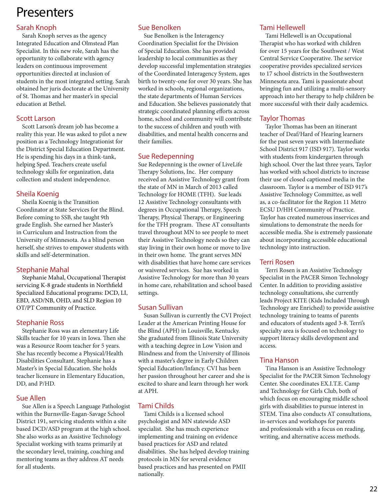# Sarah Knoph

Sarah Knoph serves as the agency Integrated Education and Olmstead Plan Specialist. In this new role, Sarah has the opportunity to collaborate with agency leaders on continuous improvement opportunities directed at inclusion of students in the most integrated setting. Sarah obtained her juris doctorate at the University of St. Thomas and her master's in special education at Bethel.

#### Scott Larson

Scott Larson's dream job has become a reality this year. He was asked to pilot a new position as a Technology Integrationist for the District Special Education Department. He is spending his days in a think-tank, helping Sped. Teachers create useful technology skills for organization, data collection and student independence.

# Sheila Koenig

Sheila Koenig is the Transition Coordinator at State Services for the Blind. Before coming to SSB, she taught 9th grade English. She earned her Master's in Curriculum and Instruction from the University of Minnesota. As a blind person herself, she strives to empower students with skills and self-determination.

# Stephanie Mahal

Stephanie Mahal, Occupational Therapist servicing K-8 grade students in Northfield Specialized Educational programs: DCD, LI, EBD, ASD/NB, OHD, and SLD Region 10 OT/PT Community of Practice.

# Stephanie Ross

Stephanie Ross was an elementary Life Skills teacher for 10 years in Iowa. Then she was a Resource Room teacher for 5 years. She has recently become a Physical/Health Disabilities Consultant. Stephanie has a Master's in Special Education. She holds teacher licensure in Elementary Education, DD, and P/HD.

# Sue Allen

Sue Allen is a Speech Language Pathologist within the Burnsville-Eagan-Savage School District 191, servicing students within a site based DCD/ASD program at the high school. She also works as an Assistive Technology Specialist working with teams primarily at the secondary level, training, coaching and mentoring teams as they address AT needs for all students.

# Sue Benolken

Sue Benolken is the Interagency Coordination Specialist for the Division of Special Education. She has provided leadership to local communities as they develop successful implementation strategies of the Coordinated Interagency System, ages birth to twenty-one for over 30 years. She has worked in schools, regional organizations, the state departments of Human Services and Education. She believes passionately that strategic coordinated planning efforts across home, school and community will contribute to the success of children and youth with disabilities, and mental health concerns and their families.

# Sue Redepenning

Sue Redepenning is the owner of LiveLife Therapy Solutions, Inc. Her company received an Assistive Technology grant from the state of MN in March of 2013 called Technology for HOME (TFH). Sue leads 12 Assistive Technology consultants with degrees in Occupational Therapy, Speech Therapy, Physical Therapy, or Engineering for the TFH program. These AT consultants travel throughout MN to see people to meet their Assistive Technology needs so they can stay living in their own home or move to live in their own home. The grant serves MN with disabilities that have home care services or waivered services. Sue has worked in Assistive Technology for more than 30 years in home care, rehabilitation and school based settings.

# Susan Sullivan

Susan Sullivan is currently the CVI Project Leader at the American Printing House for the Blind (APH) in Louisville, Kentucky. She graduated from Illinois State University with a teaching degree in Low Vision and Blindness and from the University of Illinois with a master's degree in Early Children Special Education/Infancy. CVI has been her passion throughout her career and she is excited to share and learn through her work at APH.

# Tami Childs

Tami Childs is a licensed school psychologist and MN statewide ASD specialist. She has much experience implementing and training on evidence based practices for ASD and related disabilities. She has helped develop training protocols in MN for several evidence based practices and has presented on PMII nationally.

#### Tami Hellewell

Tami Hellewell is an Occupational Therapist who has worked with children for over 15 years for the Southwest / West Central Service Cooperative. The service cooperative provides specialized services to 17 school districts in the Southwestern Minnesota area. Tami is passionate about bringing fun and utilizing a multi-sensory approach into her therapy to help children be more successful with their daily academics.

# Taylor Thomas

Taylor Thomas has been an itinerant teacher of Deaf/Hard of Hearing learners for the past seven years with Intermediate School District 917 (ISD 917). Taylor works with students from kindergarten through high school. Over the last three years, Taylor has worked with school districts to increase their use of closed captioned media in the classroom. Taylor is a member of ISD 917's Assistive Technology Committee, as well as, a co-facilitator for the Region 11 Metro ECSU D/HH Community of Practice. Taylor has created numerous inservices and simulations to demonstrate the needs for accessible media. She is extremely passionate about incorporating accessible educational technology into instruction.

#### Terri Rosen

Terri Rosen is an Assistive Technology Specialist in the PACER Simon Technology Center. In addition to providing assistive technology consultations, she currently leads Project KITE (Kids Included Through Technology are Enriched) to provide assistive technology training to teams of parents and educators of students aged 3-8. Terri's specialty area is focused on technology to support literacy skills development and access.

# Tina Hanson

Tina Hanson is an Assistive Technology Specialist for the PACER Simon Technology Center. She coordinates EX.I.T.E. Camp and Technology for Girls Club, both of which focus on encouraging middle school girls with disabilities to pursue interest in STEM. Tina also conducts AT consultations, in-services and workshops for parents and professionals with a focus on reading, writing, and alternative access methods.